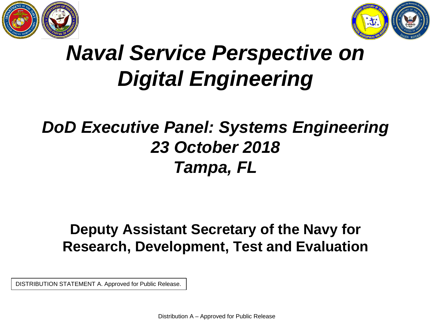



# *Naval Service Perspective on Digital Engineering*

## *DoD Executive Panel: Systems Engineering 23 October 2018 Tampa, FL*

### **Deputy Assistant Secretary of the Navy for Research, Development, Test and Evaluation**

DISTRIBUTION STATEMENT A. Approved for Public Release.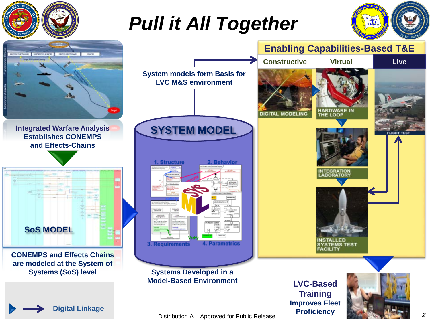

Distribution A – Approved for Public Release